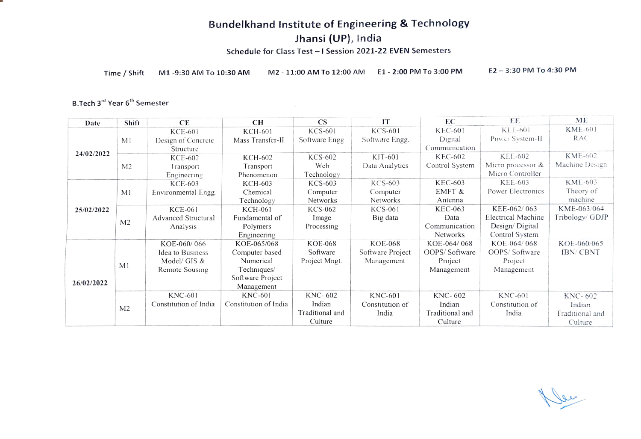## Bundelkhand Institute of Engineering & Technology

Jhansi (UP), India

Schedule for Class Test - I Session 2021-22 EVEN Semesters

Time/Shift M1-9:30 AM To 10:30 AM M2-11:00 AM To 12:00 AM E1 -2:00 PM To 3:00 PM E2-3:30 PM To 4:30 PM

#### B.Tech 3<sup>rd</sup> Year 6<sup>th</sup> Semester

| Date       | Shift          | CE                         | CH                    | $\overline{\text{CS}}$ | IT               | EС              | EE                 | ME              |
|------------|----------------|----------------------------|-----------------------|------------------------|------------------|-----------------|--------------------|-----------------|
|            |                | <b>KCE-601</b>             | <b>KCH-601</b>        | <b>KCS-601</b>         | <b>KCS-601</b>   | <b>KEC-601</b>  | <b>KEE-601</b>     | KME-601         |
| 24/02/2022 | M <sub>1</sub> | Design of Concrete         | Mass Transfer-II      | Software Engg          | Software Engg.   | Digital         | POWCT System-II    | <b>RAC</b>      |
|            |                | Structure                  |                       |                        |                  | Communication   |                    |                 |
|            | M <sub>2</sub> | KCE-602                    | KCH-602               | KCS-602                | KIT-601          | <b>KEC-602</b>  | <b>KEE-602</b>     | <b>KME-602</b>  |
|            |                | Transport                  | Transport             | Web                    | Data Analytics   | Control System  | Micro processor &  | Machine Design  |
|            |                | Engineering                | Phenomenon            | Technology             |                  |                 | Micro Controller   |                 |
|            |                | KCE-603                    | KCH-603               | KCS-603                | KCS-603          | <b>KEC-603</b>  | <b>KEE-603</b>     | <b>KME-603</b>  |
|            | M <sub>1</sub> | Environmental Engg.        | Chemical              | Computer               | Computer         | EMFT &          | Power Electronics  | Theory of       |
|            |                |                            | Technology            | Networks               | Networks         | Antenna         |                    | machine         |
| 25/02/2022 |                | <b>KCE-061</b>             | <b>KCH-061</b>        | <b>KCS-062</b>         | <b>KCS-061</b>   | <b>KEC-063</b>  | KEE-062/063        | KME-063/064     |
|            | M <sub>2</sub> | <b>Advanced Structural</b> | Fundamental of        | Image                  | Big data         | Data            | Electrical Machine | Tribology/ GDJP |
|            |                | Analysis                   | Polymers              | Processing             |                  | Communication   | Design/Digital     |                 |
|            |                |                            | Engineering           |                        |                  | <b>Networks</b> | Control System     |                 |
|            |                | KOE-060/066                | KOE-065/068           | <b>KOE-068</b>         | <b>KOE-068</b>   | KOE-064/068     | KOE-064/068        | KOE-060/065     |
|            | M <sub>1</sub> | <b>Idea to Business</b>    | Computer based        | Software               | Software Project | OOPS/Software   | OOPS/Software      | <b>IBN/CBNT</b> |
|            |                | Model/ GIS &               | Numerical             | Project Mngt.          | Management       | Project         | Project            |                 |
| 26/02/2022 |                | Remote Sousing             | Techniques/           |                        |                  | Management      | Management         |                 |
|            |                |                            | Software Project      |                        |                  |                 |                    |                 |
|            |                |                            | Management            |                        |                  |                 |                    |                 |
|            | M <sub>2</sub> | <b>KNC-601</b>             | <b>KNC-601</b>        | KNC-602                | <b>KNC-601</b>   | KNC-602         | <b>KNC-601</b>     | KNC-602         |
|            |                | Constitution of India      | Constitution of India | Indian                 | Constitution of  | Indian          | Constitution of    | Indian          |
|            |                |                            |                       | Traditional and        | India            | Traditional and | India              | Traditional and |
|            |                |                            |                       | Culture                |                  | Culture         |                    | Culture         |

New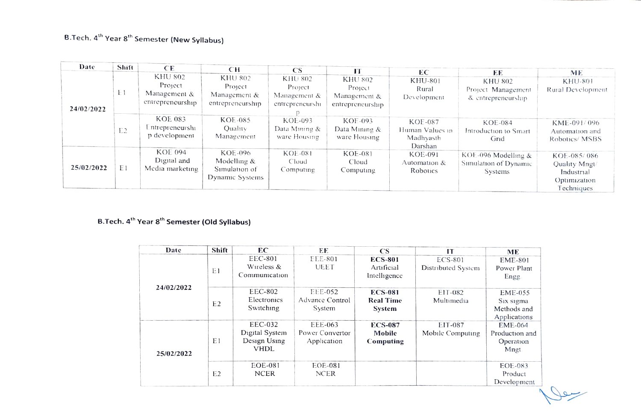$\overline{1}$ 

| Date       | Shift          | CE.                                                    | CН                                                         | CS <sup>-</sup>                                       | TТ                                                     | ЕC                                                        | ЕE                                                         | ME                                                                       |
|------------|----------------|--------------------------------------------------------|------------------------------------------------------------|-------------------------------------------------------|--------------------------------------------------------|-----------------------------------------------------------|------------------------------------------------------------|--------------------------------------------------------------------------|
| 24/02/2022 | ΕI             | KHU 802<br>Project<br>Management &<br>entrepreneurship | KHU 802<br>Project<br>Management &<br>entrepreneurship     | KHU 802<br>Project<br>Management &<br>entrepreneurshi | KHU 802<br>Project<br>Management &<br>entrepreneurship | KHU-801<br>Rural<br>Development                           | <b>KHU 802</b><br>Project Management<br>& entrepreneurship | <b>KHU-801</b><br>Rural Development                                      |
|            | E <sub>2</sub> | <b>KOE 083</b><br>Entrepreneurshi<br>p development     | <b>KOE-085</b><br>Quality<br>Management                    | KOE-093<br>Data Mining &<br>ware Housing              | KOE-093<br>Data Mining &<br>ware Housing               | <b>KOF-087</b><br>Human Values in<br>Madhyasth<br>Darshan | KOE-084<br>Introduction to Smart<br>Grid                   | KME-091/096<br>Automation and<br>Robotics/MSBS                           |
| 25/02/2022 | E1             | <b>KOE 094</b><br>Digital and<br>Media marketing       | KOE-096<br>Modelling &<br>Simulation of<br>Dynamic Systems | <b>KOE-081</b><br>Cloud<br>Computing                  | KOE-081<br>Cloud<br>Computing                          | KOE-091<br>Automation $\&$<br>Robotics                    | KOE-096 Modelling $&$<br>Simulation of Dynamic<br>Systems  | KOE-085/086<br>Quality Mngt/<br>Industrial<br>Optimization<br>Techniques |

### B.Tech. 4<sup>th</sup> Year 8<sup>th</sup> Semester (Old Syllabus)

| Date       | Shift          | EC                                                       | EF                                          | <b>CS</b>                                    | IТ                            | ME                                                         |
|------------|----------------|----------------------------------------------------------|---------------------------------------------|----------------------------------------------|-------------------------------|------------------------------------------------------------|
|            | Εl             | EEC-801<br>Wireless &<br>Communication                   | EEE-801<br><b>UEET</b>                      | <b>ECS-801</b><br>Artificial<br>Intelligence | ECS-801<br>Distributed System | <b>EME-801</b><br>Power Plant<br>Engg.                     |
| 24/02/2022 | E <sub>2</sub> | <b>EEC-802</b><br>Electronics<br>Switching               | <b>EEE-052</b><br>Advance Control<br>System | <b>ECS-081</b><br><b>Real Time</b><br>System | EIT-082<br>Multimedia         | <b>EME-055</b><br>Six sigma<br>Methods and<br>Applications |
| 25/02/2022 | Εl             | EEC-032<br>Digital System<br>Design Using<br><b>VHDL</b> | EEE-063<br>Power Convertor<br>Application   | <b>ECS-087</b><br>Mobile<br>Computing        | EIT-087<br>Mobile Computing   | EME-064<br>Production and<br>Operation<br>Mngt.            |
|            | E <sub>2</sub> | <b>EOE-081</b><br><b>NCER</b>                            | EOE-081<br>NCER                             |                                              |                               | EOE-083<br>Product<br>Development                          |

Jeep